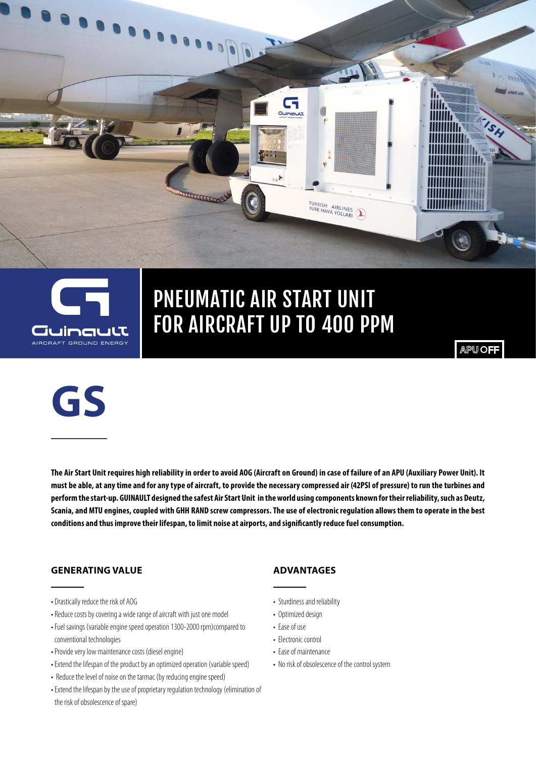

## PNEUMATIC AIR START UNIT FOR AIRCRAFT UP TO 400 PPM

**B-11** 

 $\cdot$ 

TURKISH AIRLINES

**APU OFF** 



**The Air Start Unit requires high reliability in order to avoid AOG (Aircraft on Ground) in case of failure of an APU (Auxiliary Power Unit). It must be able, at any time and for any type of aircraft, to provide the necessary compressed air (42PSI of pressure) to run the turbines and perform the start-up. GUINAULT designed the safest Air Start Unit in the world using components known for their reliability, such as Deutz, Scania, and MTU engines, coupled with GHH RAND screw compressors. The use of electronic regulation allows them to operate in the best conditions and thus improve their lifespan, to limit noise at airports, and significantly reduce fuel consumption.**

### **GENERATING VALUE**

- Drastically reduce the risk of AOG
- Reduce costs by covering a wide range of aircraft with just one model
- Fuel savings (variable engine speed operation 1300-2000 rpm)compared to conventional technologies
- Provide very low maintenance costs (diesel engine)
- Extend the lifespan of the product by an optimized operation (variable speed)
- Reduce the level of noise on the tarmac (by reducing engine speed)
- Extend the lifespan by the use of proprietary regulation technology (elimination of the risk of obsolescence of spare)

### **ADVANTAGES**

- Sturdiness and reliability
- Optimized design
- Ease of use
- Electronic control
- Ease of maintenance
- No risk of obsolescence of the control system